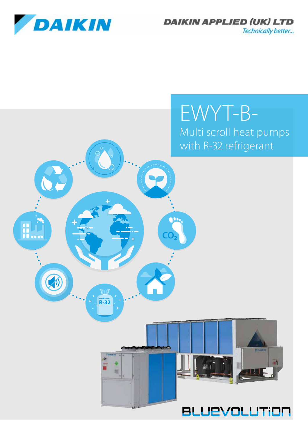

8

HÛ

**DAIKIN APPLIED (UK) LTD** Technically better...

# EWYT-B-Multi scroll heat pumps with R-32 refrigerant

*<u>FOARIN</u>* 

**BLUEVOLUTION** 

иħ

**CO₂**

 $\overline{\mathbf{O}}$ 

**REFRIGERANT R-32**

田